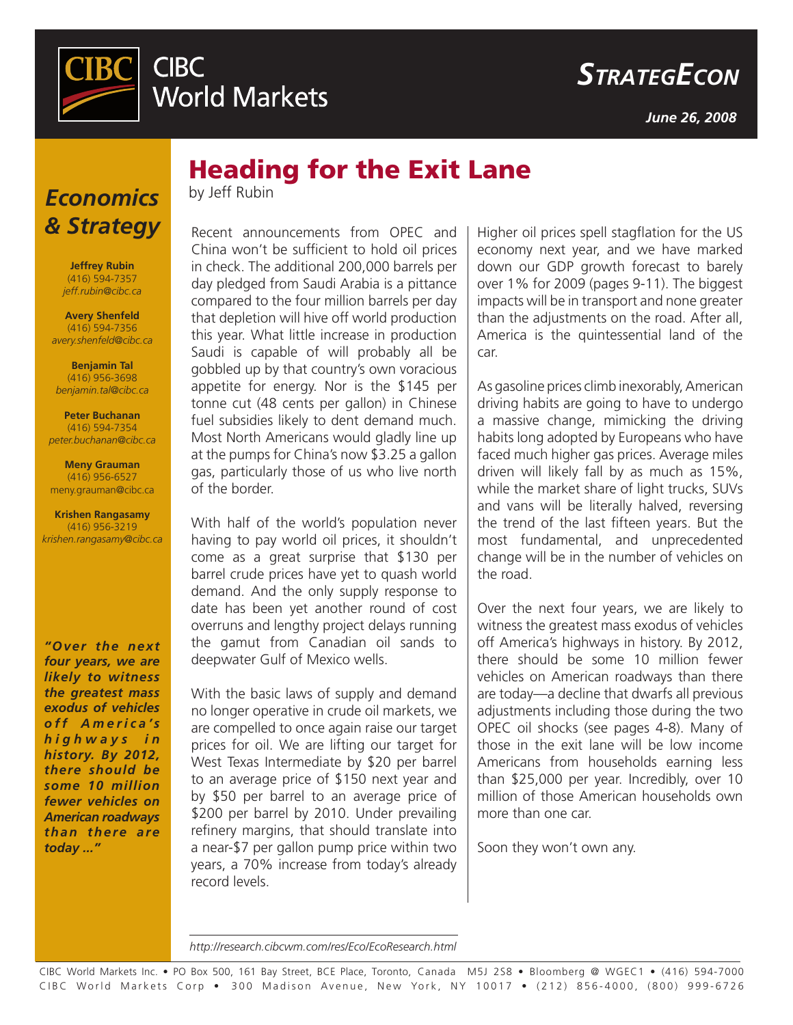

*June 26, 2008*

# *Economics & Strategy*

**Jeffrey Rubin** (416) 594-7357 *jeff.rubin@cibc.ca*

**Avery Shenfeld** (416) 594-7356 *avery.shenfeld@cibc.ca*

**Benjamin Tal** (416) 956-3698 *benjamin.tal@cibc.ca*

**Peter Buchanan** (416) 594-7354 *peter.buchanan@cibc.ca*

**Meny Grauman** (416) 956-6527 meny.grauman@cibc.ca

**Krishen Rangasamy** (416) 956-3219 *krishen.rangasamy@cibc.ca*

*"Over the next four years, we are likely to witness the greatest mass exodus of vehicles*  o ff A merica's *h i g h w a y s i n history. By 2012, there should be some 10 million fewer vehicles on American roadways than there are today ..."* 

Heading for the Exit Lane

by Jeff Rubin

Recent announcements from OPEC and China won't be sufficient to hold oil prices in check. The additional 200,000 barrels per day pledged from Saudi Arabia is a pittance compared to the four million barrels per day that depletion will hive off world production this year. What little increase in production Saudi is capable of will probably all be gobbled up by that country's own voracious appetite for energy. Nor is the \$145 per tonne cut (48 cents per gallon) in Chinese fuel subsidies likely to dent demand much. Most North Americans would gladly line up at the pumps for China's now \$3.25 a gallon gas, particularly those of us who live north of the border.

With half of the world's population never having to pay world oil prices, it shouldn't come as a great surprise that \$130 per barrel crude prices have yet to quash world demand. And the only supply response to date has been yet another round of cost overruns and lengthy project delays running the gamut from Canadian oil sands to deepwater Gulf of Mexico wells.

With the basic laws of supply and demand no longer operative in crude oil markets, we are compelled to once again raise our target prices for oil. We are lifting our target for West Texas Intermediate by \$20 per barrel to an average price of \$150 next year and by \$50 per barrel to an average price of \$200 per barrel by 2010. Under prevailing refinery margins, that should translate into a near-\$7 per gallon pump price within two years, a 70% increase from today's already record levels.

Higher oil prices spell stagflation for the US economy next year, and we have marked down our GDP growth forecast to barely over 1% for 2009 (pages 9-11). The biggest impacts will be in transport and none greater than the adjustments on the road. After all, America is the quintessential land of the car.

As gasoline prices climb inexorably,American driving habits are going to have to undergo a massive change, mimicking the driving habits long adopted by Europeans who have faced much higher gas prices. Average miles driven will likely fall by as much as 15%, while the market share of light trucks, SUVs and vans will be literally halved, reversing the trend of the last fifteen years. But the most fundamental, and unprecedented change will be in the number of vehicles on the road.

Over the next four years, we are likely to witness the greatest mass exodus of vehicles off America's highways in history. By 2012, there should be some 10 million fewer vehicles on American roadways than there are today—a decline that dwarfs all previous adjustments including those during the two OPEC oil shocks (see pages 4-8). Many of those in the exit lane will be low income Americans from households earning less than \$25,000 per year. Incredibly, over 10 million of those American households own more than one car.

Soon they won't own any.

*http://research.cibcwm.com/res/Eco/EcoResearch.html*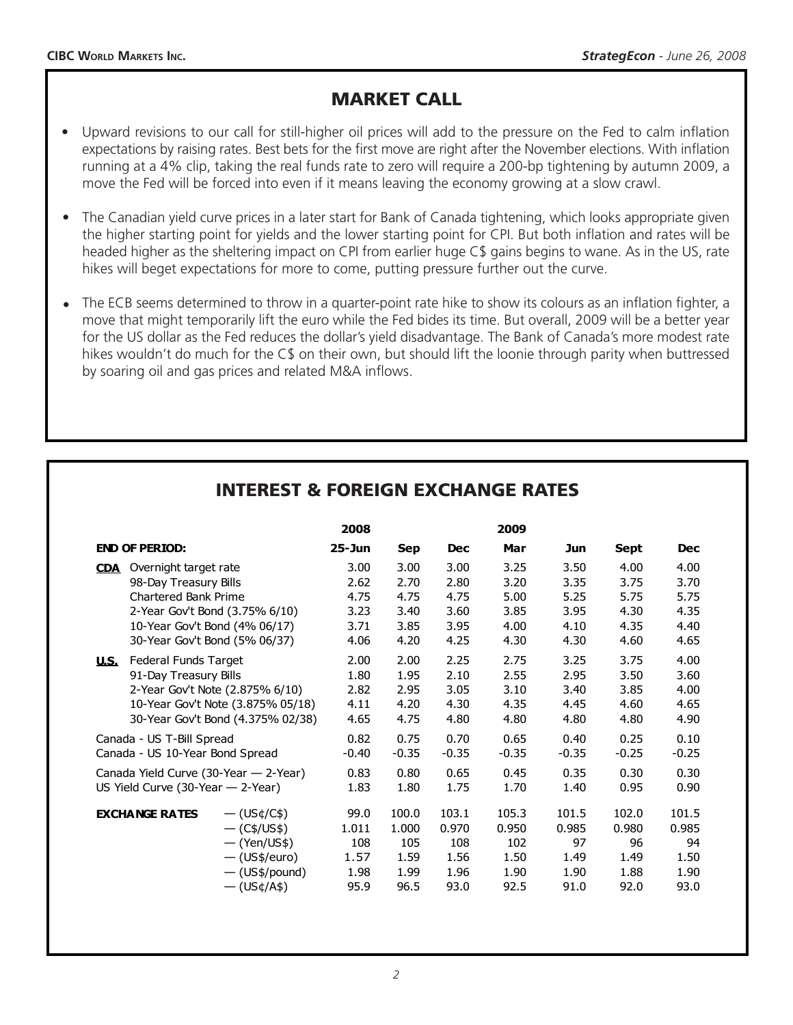# MARKET CALL

- Upward revisions to our call for still-higher oil prices will add to the pressure on the Fed to calm inflation expectations by raising rates. Best bets for the first move are right after the November elections. With inflation running at a 4% clip, taking the real funds rate to zero will require a 200-bp tightening by autumn 2009, a move the Fed will be forced into even if it means leaving the economy growing at a slow crawl. •
- The Canadian yield curve prices in a later start for Bank of Canada tightening, which looks appropriate given the higher starting point for yields and the lower starting point for CPI. But both inflation and rates will be headed higher as the sheltering impact on CPI from earlier huge C\$ gains begins to wane. As in the US, rate hikes will beget expectations for more to come, putting pressure further out the curve. •
- The ECB seems determined to throw in a quarter-point rate hike to show its colours as an inflation fighter, a move that might temporarily lift the euro while the Fed bides its time. But overall, 2009 will be a better year for the US dollar as the Fed reduces the dollar's yield disadvantage. The Bank of Canada's more modest rate hikes wouldn't do much for the C\$ on their own, but should lift the loonie through parity when buttressed by soaring oil and gas prices and related M&A inflows. •

|                                                                                                                              |                                                                                                                           | 2008                                         |                                               |                                               | 2009                                          |                                              |                                              |                                              |
|------------------------------------------------------------------------------------------------------------------------------|---------------------------------------------------------------------------------------------------------------------------|----------------------------------------------|-----------------------------------------------|-----------------------------------------------|-----------------------------------------------|----------------------------------------------|----------------------------------------------|----------------------------------------------|
| <b>END OF PERIOD:</b>                                                                                                        |                                                                                                                           | 25-Jun                                       | <b>Sep</b>                                    | <b>Dec</b>                                    | Mar                                           | Jun                                          | Sept                                         | <b>Dec</b>                                   |
| Overnight target rate<br><b>CDA</b><br>98-Day Treasury Bills<br><b>Chartered Bank Prime</b><br>10-Year Gov't Bond (4% 06/17) | 2-Year Gov't Bond (3.75% 6/10)<br>30-Year Gov't Bond (5% 06/37)                                                           | 3.00<br>2.62<br>4.75<br>3.23<br>3.71<br>4.06 | 3.00<br>2.70<br>4.75<br>3.40<br>3.85<br>4.20  | 3.00<br>2.80<br>4.75<br>3.60<br>3.95<br>4.25  | 3.25<br>3.20<br>5.00<br>3.85<br>4.00<br>4.30  | 3.50<br>3.35<br>5.25<br>3.95<br>4.10<br>4.30 | 4.00<br>3.75<br>5.75<br>4.30<br>4.35<br>4.60 | 4.00<br>3.70<br>5.75<br>4.35<br>4.40<br>4.65 |
| Federal Funds Target<br><u>u.s.</u><br>91-Day Treasury Bills                                                                 | 2-Year Gov't Note (2.875% 6/10)<br>10-Year Gov't Note (3.875% 05/18)<br>30-Year Gov't Bond (4.375% 02/38)                 | 2.00<br>1.80<br>2.82<br>4.11<br>4.65         | 2.00<br>1.95<br>2.95<br>4.20<br>4.75          | 2.25<br>2.10<br>3.05<br>4.30<br>4.80          | 2.75<br>2.55<br>3.10<br>4.35<br>4.80          | 3.25<br>2.95<br>3.40<br>4.45<br>4.80         | 3.75<br>3.50<br>3.85<br>4.60<br>4.80         | 4.00<br>3.60<br>4.00<br>4.65<br>4.90         |
| Canada - US T-Bill Spread<br>Canada - US 10-Year Bond Spread                                                                 |                                                                                                                           | 0.82<br>$-0.40$                              | 0.75<br>$-0.35$                               | 0.70<br>$-0.35$                               | 0.65<br>$-0.35$                               | 0.40<br>$-0.35$                              | 0.25<br>$-0.25$                              | 0.10<br>$-0.25$                              |
| Canada Yield Curve (30-Year - 2-Year)<br>US Yield Curve (30-Year - 2-Year)                                                   |                                                                                                                           | 0.83<br>1.83                                 | 0.80<br>1.80                                  | 0.65<br>1.75                                  | 0.45<br>1.70                                  | 0.35<br>1.40                                 | 0.30<br>0.95                                 | 0.30<br>0.90                                 |
| <b>EXCHANGE RATES</b>                                                                                                        | $-(US\phi/C\$<br>$-(C\frac{4}{15})$<br>$-(\text{Yen}/\text{US$})$<br>$-$ (US\$/euro)<br>$-$ (US\$/pound)<br>$-$ (US¢/A\$) | 99.0<br>1.011<br>108<br>1.57<br>1.98<br>95.9 | 100.0<br>1.000<br>105<br>1.59<br>1.99<br>96.5 | 103.1<br>0.970<br>108<br>1.56<br>1.96<br>93.0 | 105.3<br>0.950<br>102<br>1.50<br>1.90<br>92.5 | 101.5<br>0.985<br>97<br>1.49<br>1.90<br>91.0 | 102.0<br>0.980<br>96<br>1.49<br>1.88<br>92.0 | 101.5<br>0.985<br>94<br>1.50<br>1.90<br>93.0 |

# INTEREST & FOREIGN EXCHANGE RATES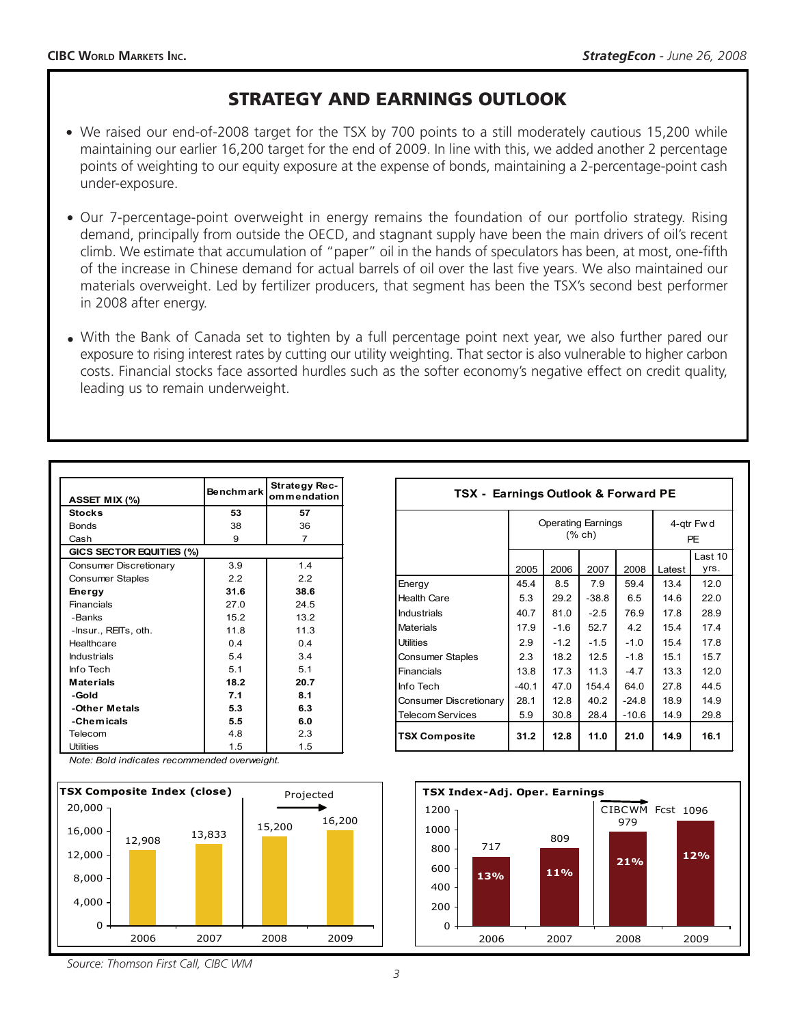# STRATEGY AND EARNINGS OUTLOOK

- We raised our end-of-2008 target for the TSX by 700 points to a still moderately cautious 15,200 while maintaining our earlier 16,200 target for the end of 2009. In line with this, we added another 2 percentage points of weighting to our equity exposure at the expense of bonds, maintaining a 2-percentage-point cash under-exposure.
- Our 7-percentage-point overweight in energy remains the foundation of our portfolio strategy. Rising demand, principally from outside the OECD, and stagnant supply have been the main drivers of oil's recent climb. We estimate that accumulation of "paper" oil in the hands of speculators has been, at most, one-fifth of the increase in Chinese demand for actual barrels of oil over the last five years. We also maintained our materials overweight. Led by fertilizer producers, that segment has been the TSX's second best performer in 2008 after energy.
- With the Bank of Canada set to tighten by a full percentage point next year, we also further pared our exposure to rising interest rates by cutting our utility weighting. That sector is also vulnerable to higher carbon costs. Financial stocks face assorted hurdles such as the softer economy's negative effect on credit quality, leading us to remain underweight.

| ASSET MIX (%)            | <b>Benchmark</b> | Strategy Rec-<br>ommendation |  |
|--------------------------|------------------|------------------------------|--|
| <b>Stocks</b>            | 53               | 57                           |  |
| <b>Bonds</b>             | 38               | 36                           |  |
| Cash                     | 9                | 7                            |  |
| GICS SECTOR EQUITIES (%) |                  |                              |  |
| Consumer Discretionary   | 3.9              | 1.4                          |  |
| <b>Consumer Staples</b>  | 2.2              | 2.2                          |  |
| Energy                   | 31.6             | 38.6                         |  |
| Financials               | 27.0             | 24.5                         |  |
| -Banks                   | 15.2             | 132                          |  |
| -Insur., REITs, oth.     | 118              | 11.3                         |  |
| Healthcare               | 04               | 04                           |  |
| <b>Industrials</b>       | 54               | 34                           |  |
| Info Tech                | 51               | 51                           |  |
| <b>Materials</b>         | 18.2             | 20.7                         |  |
| -Gold                    | 7.1              | 8.1                          |  |
| -Other Metals            | 5.3              | 6.3                          |  |
| -Chemicals               | 5.5              | 6.0                          |  |
| Telecom                  | 4.8              | 2.3                          |  |
| <b>Utilities</b>         | 1.5              | 1.5                          |  |

*Note: Bold indicates recommended overweight.*



| TSX - Earnings Outlook & Forward PE |                                            |       |         |         |                         |             |  |  |
|-------------------------------------|--------------------------------------------|-------|---------|---------|-------------------------|-------------|--|--|
|                                     | <b>Operating Earnings</b><br>$(%$ $(*$ ch) |       |         |         | 4-gtr Fw d<br><b>PE</b> |             |  |  |
|                                     |                                            |       |         |         |                         | Last 10     |  |  |
|                                     | 2005                                       | 2006  | 2007    | 2008    | Latest                  | yrs.        |  |  |
| Energy                              | 45.4                                       | 8.5   | 7.9     | 59.4    | 13.4                    | 12 $\Omega$ |  |  |
| <b>Health Care</b>                  | 5.3                                        | 29.2  | $-38.8$ | 6.5     | 14.6                    | 22.0        |  |  |
| <b>Industrials</b>                  | 40.7                                       | 81.0  | $-2.5$  | 76.9    | 17.8                    | 28.9        |  |  |
| <b>Materials</b>                    | 17.9                                       | -1.6  | 52.7    | 4.2     | 15.4                    | 17.4        |  |  |
| <b>Utilities</b>                    | 2.9                                        | $-12$ | $-1.5$  | $-1.0$  | 15.4                    | 17.8        |  |  |
| <b>Consumer Staples</b>             | 2.3                                        | 18.2  | 12.5    | $-1.8$  | 15.1                    | 15.7        |  |  |
| Financials                          | 13.8                                       | 17.3  | 11.3    | $-4.7$  | 13.3                    | 12.0        |  |  |
| Info Tech                           | $-40.1$                                    | 47.0  | 154.4   | 64.0    | 27.8                    | 44.5        |  |  |
| Consumer Discretionary              | 28.1                                       | 12.8  | 40.2    | $-24.8$ | 18.9                    | 14.9        |  |  |
| <b>Telecom Services</b>             | 5.9                                        | 30.8  | 28.4    | $-10.6$ | 14.9                    | 29.8        |  |  |
| <b>TSX Composite</b>                | 31.2                                       | 12.8  | 11.0    | 21.0    | 14.9                    | 16.1        |  |  |



*Source: Thomson First Call, CIBC WM*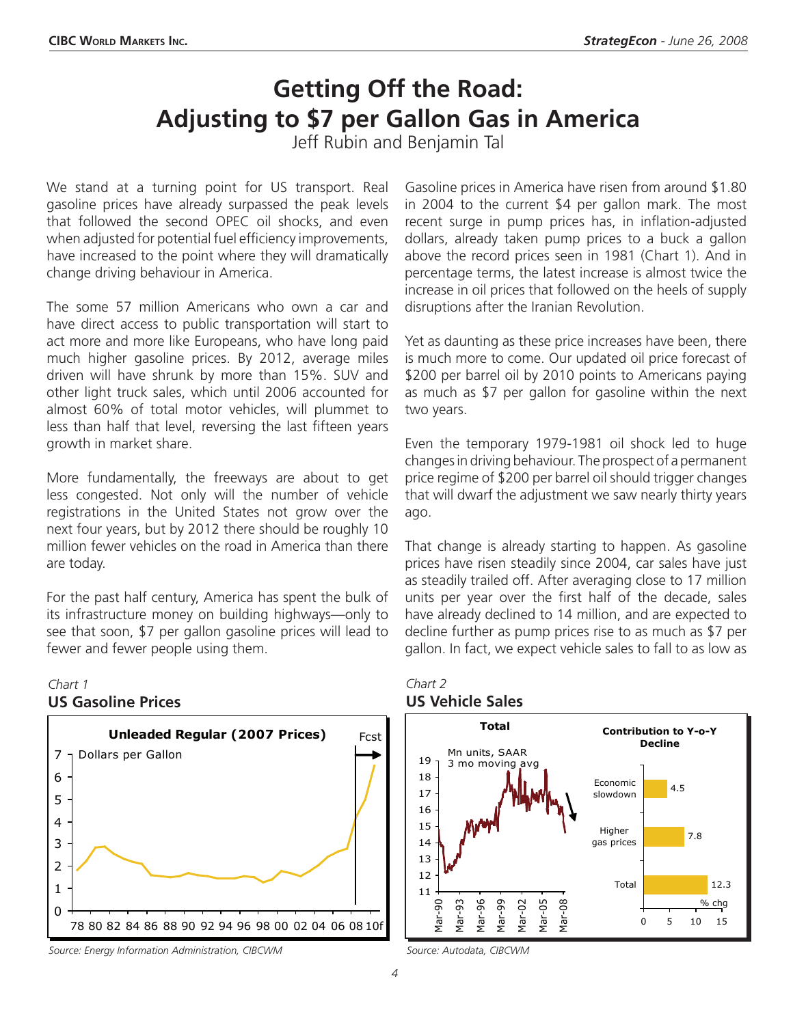# **Getting Off the Road: Adjusting to \$7 per Gallon Gas in America**

Jeff Rubin and Benjamin Tal

We stand at a turning point for US transport. Real gasoline prices have already surpassed the peak levels that followed the second OPEC oil shocks, and even when adjusted for potential fuel efficiency improvements, have increased to the point where they will dramatically change driving behaviour in America.

The some 57 million Americans who own a car and have direct access to public transportation will start to act more and more like Europeans, who have long paid much higher gasoline prices. By 2012, average miles driven will have shrunk by more than 15%. SUV and other light truck sales, which until 2006 accounted for almost 60% of total motor vehicles, will plummet to less than half that level, reversing the last fifteen years growth in market share.

More fundamentally, the freeways are about to get less congested. Not only will the number of vehicle registrations in the United States not grow over the next four years, but by 2012 there should be roughly 10 million fewer vehicles on the road in America than there are today.

For the past half century, America has spent the bulk of its infrastructure money on building highways—only to see that soon, \$7 per gallon gasoline prices will lead to fewer and fewer people using them.

### *Chart 1* **US Gasoline Prices**



*Source: Energy Information Administration, CIBCWM Source: Autodata, CIBCWM*

Gasoline prices in America have risen from around \$1.80 in 2004 to the current \$4 per gallon mark. The most recent surge in pump prices has, in inflation-adjusted dollars, already taken pump prices to a buck a gallon above the record prices seen in 1981 (Chart 1). And in percentage terms, the latest increase is almost twice the increase in oil prices that followed on the heels of supply disruptions after the Iranian Revolution.

Yet as daunting as these price increases have been, there is much more to come. Our updated oil price forecast of \$200 per barrel oil by 2010 points to Americans paying as much as \$7 per gallon for gasoline within the next two years.

Even the temporary 1979-1981 oil shock led to huge changesin driving behaviour. The prospect of a permanent price regime of \$200 per barrel oil should trigger changes that will dwarf the adjustment we saw nearly thirty years ago.

That change is already starting to happen. As gasoline prices have risen steadily since 2004, car sales have just as steadily trailed off. After averaging close to 17 million units per year over the first half of the decade, sales have already declined to 14 million, and are expected to decline further as pump prices rise to as much as \$7 per gallon. In fact, we expect vehicle sales to fall to as low as



#### *Chart 2* **US Vehicle Sales**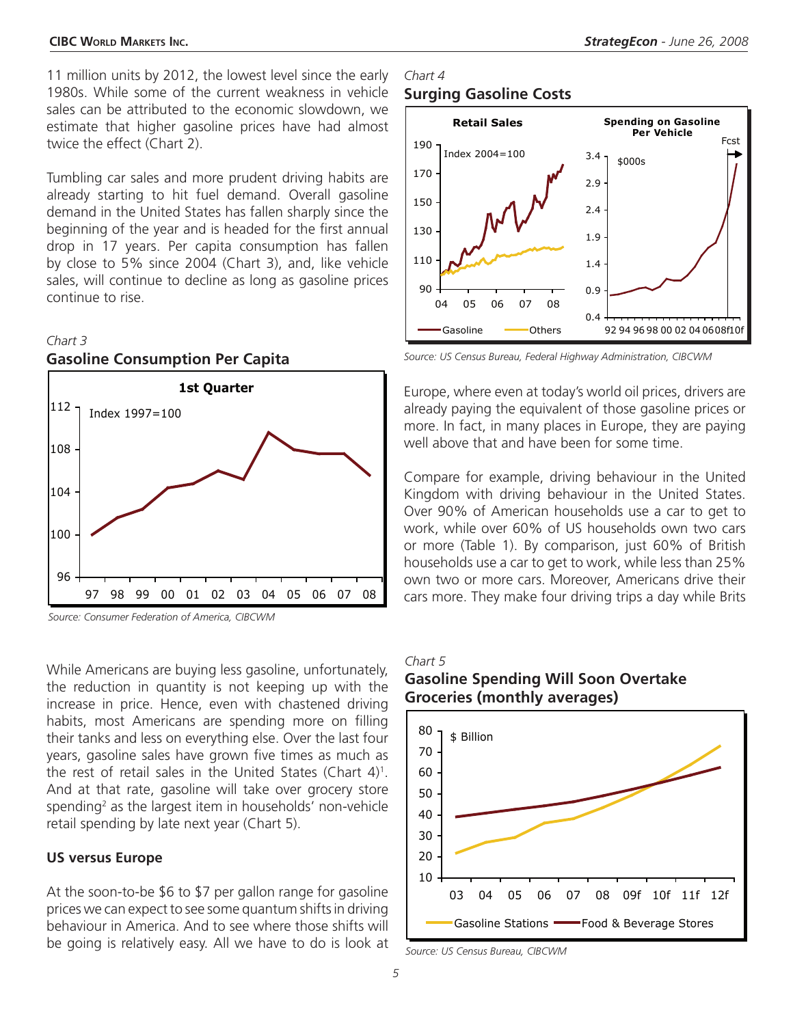11 million units by 2012, the lowest level since the early 1980s. While some of the current weakness in vehicle sales can be attributed to the economic slowdown, we estimate that higher gasoline prices have had almost twice the effect (Chart 2).

Tumbling car sales and more prudent driving habits are already starting to hit fuel demand. Overall gasoline demand in the United States has fallen sharply since the beginning of the year and is headed for the first annual drop in 17 years. Per capita consumption has fallen by close to 5% since 2004 (Chart 3), and, like vehicle sales, will continue to decline as long as gasoline prices continue to rise.

#### *Chart 3*



*Source: Consumer Federation of America, CIBCWM*

**Gasoline Consumption Per Capita**

While Americans are buying less gasoline, unfortunately, the reduction in quantity is not keeping up with the increase in price. Hence, even with chastened driving habits, most Americans are spending more on filling their tanks and less on everything else. Over the last four years, gasoline sales have grown five times as much as the rest of retail sales in the United States (Chart  $4$ )<sup>1</sup>. And at that rate, gasoline will take over grocery store spending<sup>2</sup> as the largest item in households' non-vehicle retail spending by late next year (Chart 5).

#### **US versus Europe**

At the soon-to-be \$6 to \$7 per gallon range for gasoline prices we can expect to see some quantum shifts in driving behaviour in America. And to see where those shifts will be going is relatively easy. All we have to do is look at

### *Chart 4* **Surging Gasoline Costs**



*Source: US Census Bureau, Federal Highway Administration, CIBCWM*

Europe, where even at today's world oil prices, drivers are already paying the equivalent of those gasoline prices or more. In fact, in many places in Europe, they are paying well above that and have been for some time.

Compare for example, driving behaviour in the United Kingdom with driving behaviour in the United States. Over 90% of American households use a car to get to work, while over 60% of US households own two cars or more (Table 1). By comparison, just 60% of British households use a car to get to work, while less than 25% own two or more cars. Moreover, Americans drive their cars more. They make four driving trips a day while Brits

#### *Chart 5*

### **Gasoline Spending Will Soon Overtake Groceries (monthly averages)**



*Source: US Census Bureau, CIBCWM*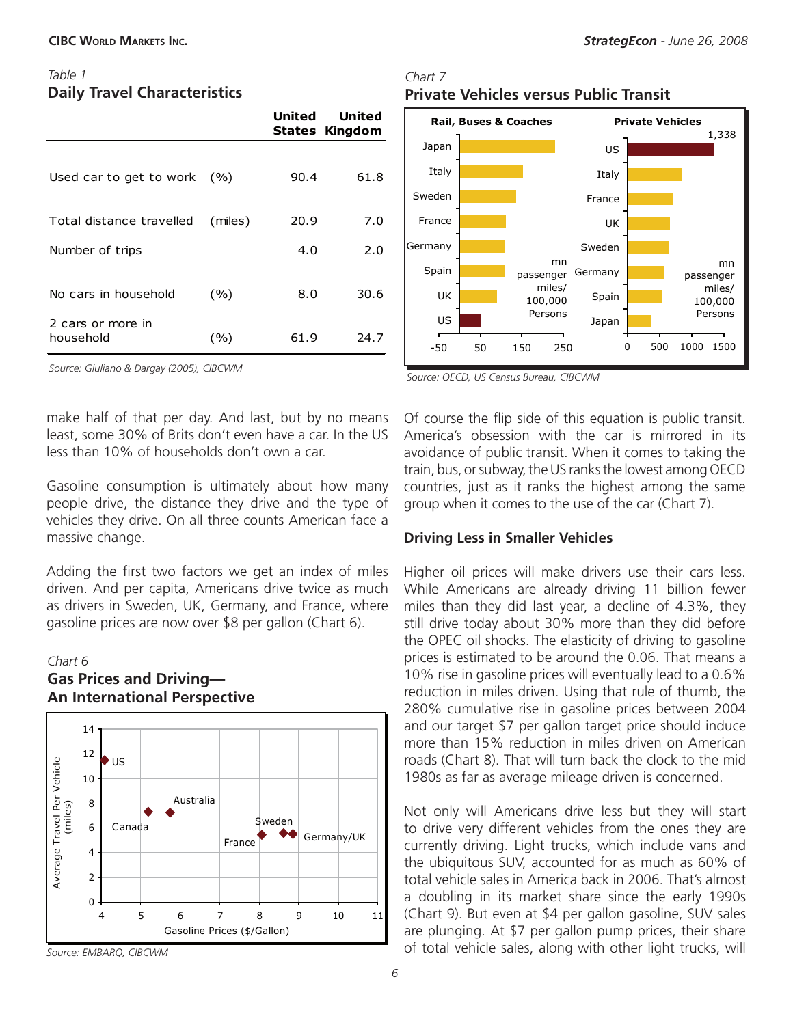### *Table 1* **Daily Travel Characteristics**

|                                |         | United | United<br>States Kingdom |
|--------------------------------|---------|--------|--------------------------|
|                                |         |        |                          |
| Used car to get to work        | (9/0)   | 90.4   | 61.8                     |
|                                |         |        |                          |
| Total distance travelled       | (miles) | 20.9   | 7.0                      |
| Number of trips                |         | 4.0    | 2.0                      |
|                                |         |        |                          |
| No cars in household           | (%)     | 8.0    | 30.6                     |
| 2 cars or more in<br>household | (%)     | 61.9   | 24.7                     |

*Source: Giuliano & Dargay (2005), CIBCWM*

make half of that per day. And last, but by no means least, some 30% of Brits don't even have a car. In the US less than 10% of households don't own a car.

Gasoline consumption is ultimately about how many people drive, the distance they drive and the type of vehicles they drive. On all three counts American face a massive change.

Adding the first two factors we get an index of miles driven. And per capita, Americans drive twice as much as drivers in Sweden, UK, Germany, and France, where gasoline prices are now over \$8 per gallon (Chart 6).

### *Chart 6*



### **Gas Prices and Driving— An International Perspective**

*Chart 7* **Private Vehicles versus Public Transit**



*Source: OECD, US Census Bureau, CIBCWM*

Of course the flip side of this equation is public transit. America's obsession with the car is mirrored in its avoidance of public transit. When it comes to taking the train, bus, or subway, the US ranks the lowest among OECD countries, just as it ranks the highest among the same group when it comes to the use of the car (Chart 7).

### **Driving Less in Smaller Vehicles**

Higher oil prices will make drivers use their cars less. While Americans are already driving 11 billion fewer miles than they did last year, a decline of 4.3%, they still drive today about 30% more than they did before the OPEC oil shocks. The elasticity of driving to gasoline prices is estimated to be around the 0.06. That means a 10% rise in gasoline prices will eventually lead to a 0.6% reduction in miles driven. Using that rule of thumb, the 280% cumulative rise in gasoline prices between 2004 and our target \$7 per gallon target price should induce more than 15% reduction in miles driven on American roads (Chart 8). That will turn back the clock to the mid 1980s as far as average mileage driven is concerned.

Not only will Americans drive less but they will start to drive very different vehicles from the ones they are currently driving. Light trucks, which include vans and the ubiquitous SUV, accounted for as much as 60% of total vehicle sales in America back in 2006. That's almost a doubling in its market share since the early 1990s (Chart 9). But even at \$4 per gallon gasoline, SUV sales are plunging. At \$7 per gallon pump prices, their share of total vehicle sales, along with other light trucks, will

*Source: EMBARQ, CIBCWM*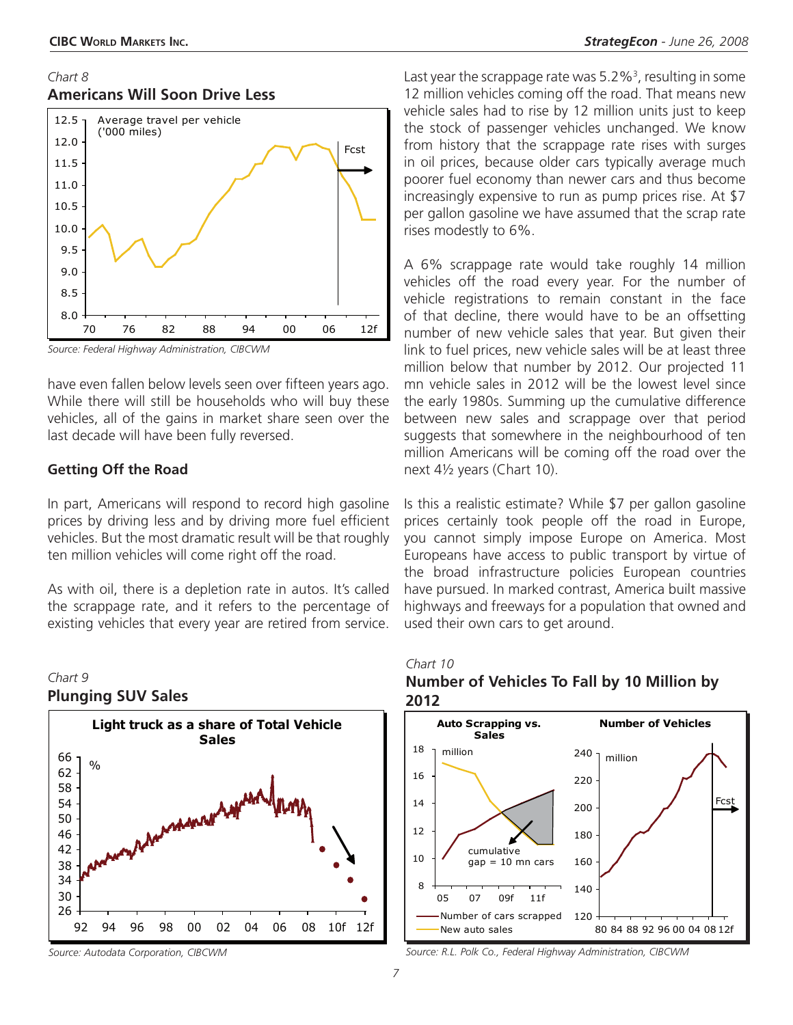### *Chart 8* **Americans Will Soon Drive Less**



*Source: Federal Highway Administration, CIBCWM*

have even fallen below levels seen over fifteen years ago. While there will still be households who will buy these vehicles, all of the gains in market share seen over the last decade will have been fully reversed.

### **Getting Off the Road**

In part, Americans will respond to record high gasoline prices by driving less and by driving more fuel efficient vehicles. But the most dramatic result will be that roughly ten million vehicles will come right off the road.

As with oil, there is a depletion rate in autos. It's called the scrappage rate, and it refers to the percentage of existing vehicles that every year are retired from service.





Last year the scrappage rate was 5.2%<sup>3</sup>, resulting in some 12 million vehicles coming off the road. That means new vehicle sales had to rise by 12 million units just to keep the stock of passenger vehicles unchanged. We know from history that the scrappage rate rises with surges in oil prices, because older cars typically average much poorer fuel economy than newer cars and thus become increasingly expensive to run as pump prices rise. At \$7 per gallon gasoline we have assumed that the scrap rate rises modestly to 6%.

A 6% scrappage rate would take roughly 14 million vehicles off the road every year. For the number of vehicle registrations to remain constant in the face of that decline, there would have to be an offsetting number of new vehicle sales that year. But given their link to fuel prices, new vehicle sales will be at least three million below that number by 2012. Our projected 11 mn vehicle sales in 2012 will be the lowest level since the early 1980s. Summing up the cumulative difference between new sales and scrappage over that period suggests that somewhere in the neighbourhood of ten million Americans will be coming off the road over the next 4½ years (Chart 10).

Is this a realistic estimate? While \$7 per gallon gasoline prices certainly took people off the road in Europe, you cannot simply impose Europe on America. Most Europeans have access to public transport by virtue of the broad infrastructure policies European countries have pursued. In marked contrast, America built massive highways and freeways for a population that owned and used their own cars to get around.

### *Chart 10* **Number of Vehicles To Fall by 10 Million by**



*Source: Autodata Corporation, CIBCWM Source: R.L. Polk Co., Federal Highway Administration, CIBCWM*

**2012**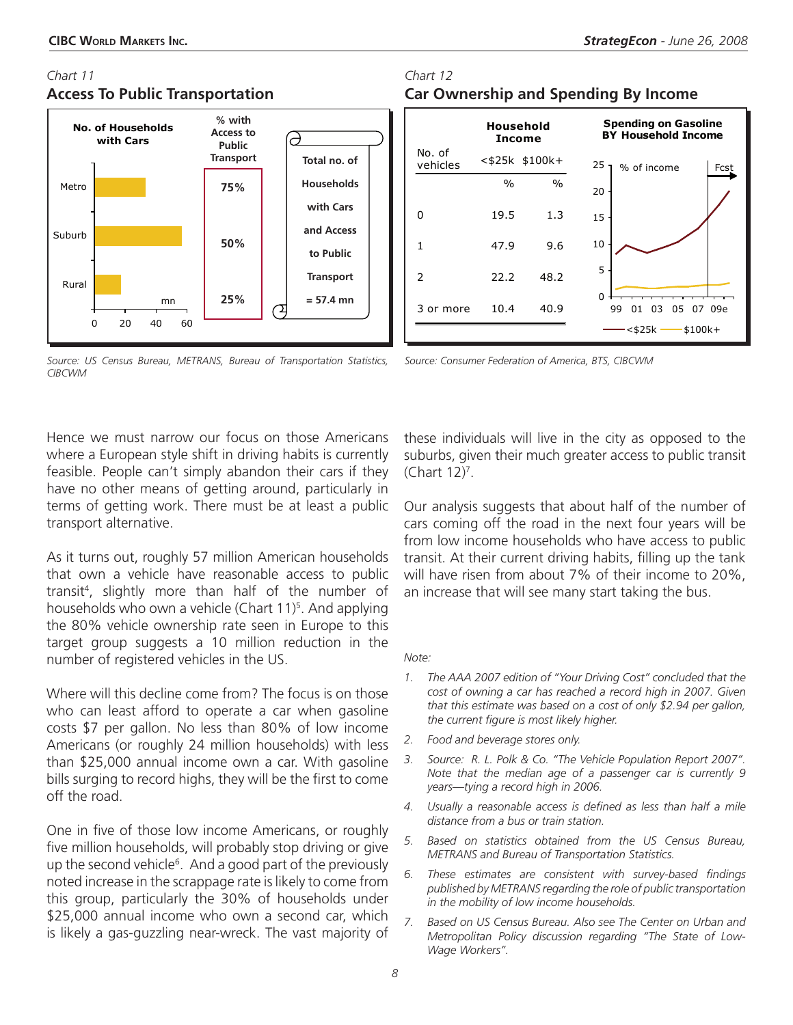### *Chart 11* **Access To Public Transportation**



#### *Source: US Census Bureau, METRANS, Bureau of Transportation Statistics, CIBCWM*

*Source: Consumer Federation of America, BTS, CIBCWM*

Hence we must narrow our focus on those Americans where a European style shift in driving habits is currently feasible. People can't simply abandon their cars if they have no other means of getting around, particularly in terms of getting work. There must be at least a public transport alternative.

As it turns out, roughly 57 million American households that own a vehicle have reasonable access to public transit4 , slightly more than half of the number of households who own a vehicle (Chart 11)<sup>5</sup>. And applying the 80% vehicle ownership rate seen in Europe to this target group suggests a 10 million reduction in the number of registered vehicles in the US.

Where will this decline come from? The focus is on those who can least afford to operate a car when gasoline costs \$7 per gallon. No less than 80% of low income Americans (or roughly 24 million households) with less than \$25,000 annual income own a car. With gasoline bills surging to record highs, they will be the first to come off the road.

One in five of those low income Americans, or roughly five million households, will probably stop driving or give up the second vehicle<sup>6</sup>. And a good part of the previously noted increase in the scrappage rate islikely to come from this group, particularly the 30% of households under \$25,000 annual income who own a second car, which is likely a gas-guzzling near-wreck. The vast majority of these individuals will live in the city as opposed to the suburbs, given their much greater access to public transit (Chart 12)7 .

Our analysis suggests that about half of the number of cars coming off the road in the next four years will be from low income households who have access to public transit. At their current driving habits, filling up the tank will have risen from about 7% of their income to 20%, an increase that will see many start taking the bus.

#### *Note:*

- *1. The AAA 2007 edition of "Your Driving Cost" concluded that the cost of owning a car has reached a record high in 2007. Given that this estimate was based on a cost of only \$2.94 per gallon, the current figure is most likely higher.*
- *2. Food and beverage stores only.*
- *3. Source: R. L. Polk & Co. "The Vehicle Population Report 2007". Note that the median age of a passenger car is currently 9 years—tying a record high in 2006.*
- *4. Usually a reasonable access is defined as less than half a mile distance from a bus or train station.*
- *5. Based on statistics obtained from the US Census Bureau, METRANS and Bureau of Transportation Statistics.*
- *6. These estimates are consistent with survey-based findings published by METRANS regarding the role of public transportation in the mobility of low income households.*
- *7. Based on US Census Bureau. Also see The Center on Urban and Metropolitan Policy discussion regarding "The State of Low-Wage Workers".*

### *Chart 12* **Car Ownership and Spending By Income**

|                    | Household<br><b>Income</b> |                | <b>Spending on Gasoline</b><br><b>BY Household Income</b> |  |  |  |  |
|--------------------|----------------------------|----------------|-----------------------------------------------------------|--|--|--|--|
| No. of<br>vehicles |                            | <\$25k \$100k+ | 25<br>% of income<br>Fcst                                 |  |  |  |  |
|                    | $\frac{0}{0}$              | $\frac{0}{0}$  | 20                                                        |  |  |  |  |
| 0                  | 19.5                       | 1.3            | 15                                                        |  |  |  |  |
| 1                  | 47.9                       | 9.6            | 10                                                        |  |  |  |  |
| 2                  | 22.2                       | 48.2           | 5                                                         |  |  |  |  |
| 3<br>or more       | 10.4                       | 40.9           | $\Omega$<br>03<br>05 07 09e<br>99<br>01                   |  |  |  |  |
|                    |                            |                | —— \$100k+<br><\$25k -                                    |  |  |  |  |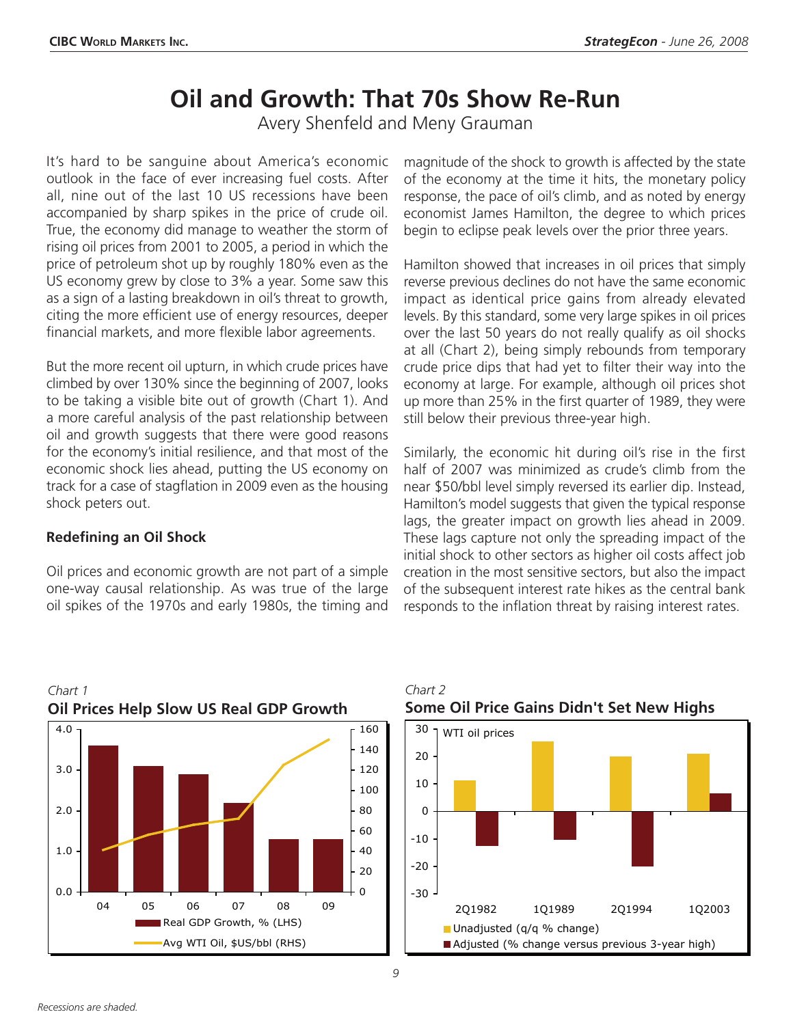# **Oil and Growth: That 70s Show Re-Run**

Avery Shenfeld and Meny Grauman

It's hard to be sanguine about America's economic outlook in the face of ever increasing fuel costs. After all, nine out of the last 10 US recessions have been accompanied by sharp spikes in the price of crude oil. True, the economy did manage to weather the storm of rising oil prices from 2001 to 2005, a period in which the price of petroleum shot up by roughly 180% even as the US economy grew by close to 3% a year. Some saw this as a sign of a lasting breakdown in oil's threat to growth, citing the more efficient use of energy resources, deeper financial markets, and more flexible labor agreements.

But the more recent oil upturn, in which crude prices have climbed by over 130% since the beginning of 2007, looks to be taking a visible bite out of growth (Chart 1). And a more careful analysis of the past relationship between oil and growth suggests that there were good reasons for the economy's initial resilience, and that most of the economic shock lies ahead, putting the US economy on track for a case of stagflation in 2009 even as the housing shock peters out.

### **Redefining an Oil Shock**

Oil prices and economic growth are not part of a simple one-way causal relationship. As was true of the large oil spikes of the 1970s and early 1980s, the timing and magnitude of the shock to growth is affected by the state of the economy at the time it hits, the monetary policy response, the pace of oil's climb, and as noted by energy economist James Hamilton, the degree to which prices begin to eclipse peak levels over the prior three years.

Hamilton showed that increases in oil prices that simply reverse previous declines do not have the same economic impact as identical price gains from already elevated levels. By this standard, some very large spikes in oil prices over the last 50 years do not really qualify as oil shocks at all (Chart 2), being simply rebounds from temporary crude price dips that had yet to filter their way into the economy at large. For example, although oil prices shot up more than 25% in the first quarter of 1989, they were still below their previous three-year high.

Similarly, the economic hit during oil's rise in the first half of 2007 was minimized as crude's climb from the near \$50/bbl level simply reversed its earlier dip. Instead, Hamilton's model suggests that given the typical response lags, the greater impact on growth lies ahead in 2009. These lags capture not only the spreading impact of the initial shock to other sectors as higher oil costs affect job creation in the most sensitive sectors, but also the impact of the subsequent interest rate hikes as the central bank responds to the inflation threat by raising interest rates.



*Chart 2*





*Chart 1*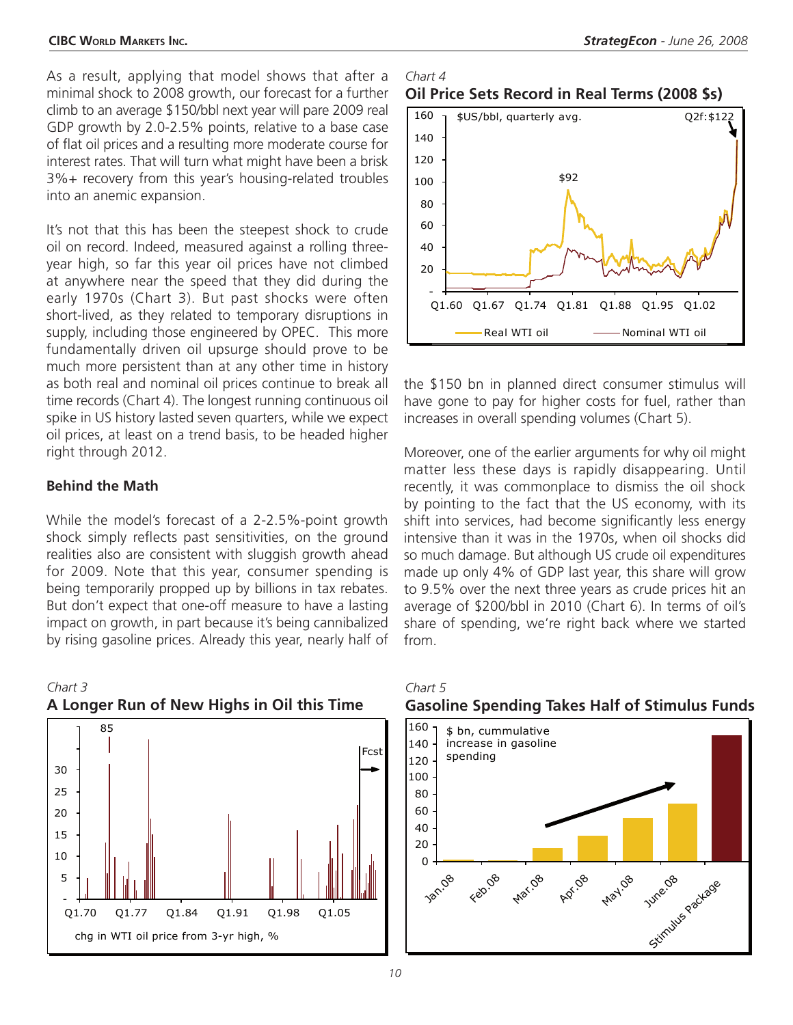As a result, applying that model shows that after a minimal shock to 2008 growth, our forecast for a further climb to an average \$150/bbl next year will pare 2009 real GDP growth by 2.0-2.5% points, relative to a base case of flat oil prices and a resulting more moderate course for interest rates. That will turn what might have been a brisk 3%+ recovery from this year's housing-related troubles into an anemic expansion.

It's not that this has been the steepest shock to crude oil on record. Indeed, measured against a rolling threeyear high, so far this year oil prices have not climbed at anywhere near the speed that they did during the early 1970s (Chart 3). But past shocks were often short-lived, as they related to temporary disruptions in supply, including those engineered by OPEC. This more fundamentally driven oil upsurge should prove to be much more persistent than at any other time in history as both real and nominal oil prices continue to break all time records (Chart 4). The longest running continuous oil spike in US history lasted seven quarters, while we expect oil prices, at least on a trend basis, to be headed higher right through 2012.

#### **Behind the Math**

While the model's forecast of a 2-2.5%-point growth shock simply reflects past sensitivities, on the ground realities also are consistent with sluggish growth ahead for 2009. Note that this year, consumer spending is being temporarily propped up by billions in tax rebates. But don't expect that one-off measure to have a lasting impact on growth, in part because it's being cannibalized by rising gasoline prices. Already this year, nearly half of



# *Chart 3* **A Longer Run of New Highs in Oil this Time**

#### *Chart 4* **Oil Price Sets Record in Real Terms (2008 \$s)**



the \$150 bn in planned direct consumer stimulus will have gone to pay for higher costs for fuel, rather than increases in overall spending volumes (Chart 5).

Moreover, one of the earlier arguments for why oil might matter less these days is rapidly disappearing. Until recently, it was commonplace to dismiss the oil shock by pointing to the fact that the US economy, with its shift into services, had become significantly less energy intensive than it was in the 1970s, when oil shocks did so much damage. But although US crude oil expenditures made up only 4% of GDP last year, this share will grow to 9.5% over the next three years as crude prices hit an average of \$200/bbl in 2010 (Chart 6). In terms of oil's share of spending, we're right back where we started from.



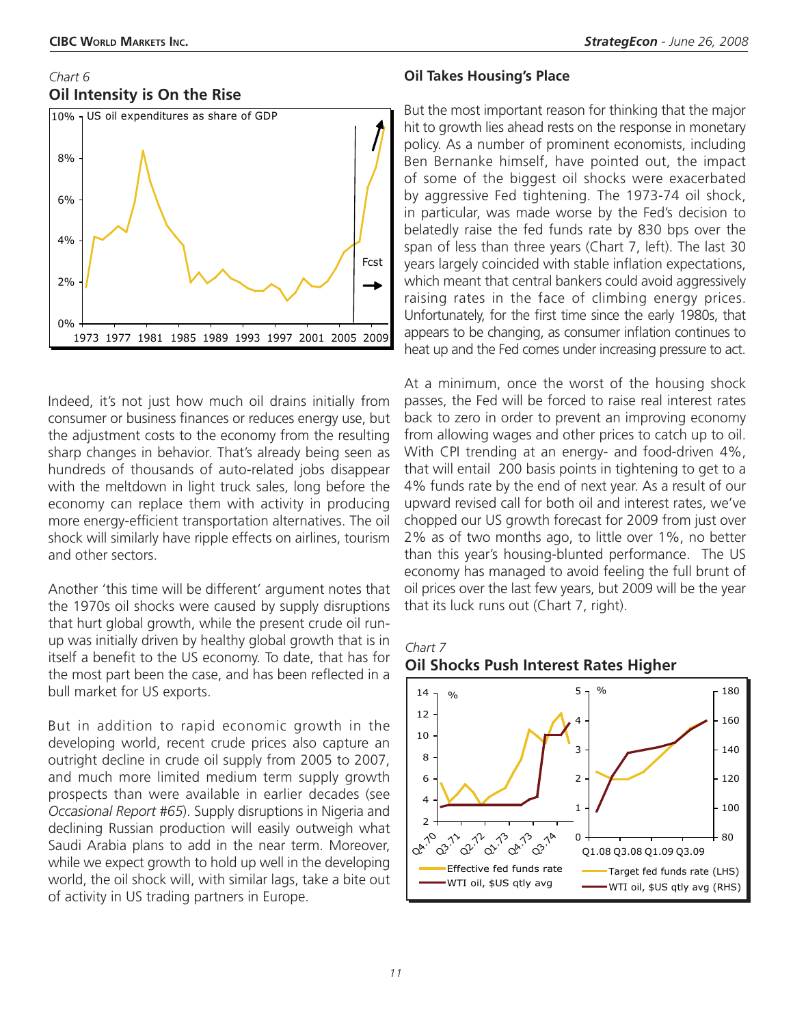### *Chart 6* **Oil Intensity is On the Rise**



Indeed, it's not just how much oil drains initially from consumer or business finances or reduces energy use, but the adjustment costs to the economy from the resulting sharp changes in behavior. That's already being seen as hundreds of thousands of auto-related jobs disappear with the meltdown in light truck sales, long before the economy can replace them with activity in producing more energy-efficient transportation alternatives. The oil shock will similarly have ripple effects on airlines, tourism and other sectors.

Another 'this time will be different' argument notes that the 1970s oil shocks were caused by supply disruptions that hurt global growth, while the present crude oil runup was initially driven by healthy global growth that is in itself a benefit to the US economy. To date, that has for the most part been the case, and has been reflected in a bull market for US exports.

But in addition to rapid economic growth in the developing world, recent crude prices also capture an outright decline in crude oil supply from 2005 to 2007, and much more limited medium term supply growth prospects than were available in earlier decades (see *Occasional Report #65*). Supply disruptions in Nigeria and declining Russian production will easily outweigh what Saudi Arabia plans to add in the near term. Moreover, while we expect growth to hold up well in the developing world, the oil shock will, with similar lags, take a bite out of activity in US trading partners in Europe.

### **Oil Takes Housing's Place**

But the most important reason for thinking that the major hit to growth lies ahead rests on the response in monetary policy. As a number of prominent economists, including Ben Bernanke himself, have pointed out, the impact of some of the biggest oil shocks were exacerbated by aggressive Fed tightening. The 1973-74 oil shock, in particular, was made worse by the Fed's decision to belatedly raise the fed funds rate by 830 bps over the span of less than three years (Chart 7, left). The last 30 years largely coincided with stable inflation expectations, which meant that central bankers could avoid aggressively raising rates in the face of climbing energy prices. Unfortunately, for the first time since the early 1980s, that appears to be changing, as consumer inflation continues to heat up and the Fed comes under increasing pressure to act.

At a minimum, once the worst of the housing shock passes, the Fed will be forced to raise real interest rates back to zero in order to prevent an improving economy from allowing wages and other prices to catch up to oil. With CPI trending at an energy- and food-driven 4%, that will entail 200 basis points in tightening to get to a 4% funds rate by the end of next year. As a result of our upward revised call for both oil and interest rates, we've chopped our US growth forecast for 2009 from just over 2% as of two months ago, to little over 1%, no better than this year's housing-blunted performance. The US economy has managed to avoid feeling the full brunt of oil prices over the last few years, but 2009 will be the year that its luck runs out (Chart 7, right).